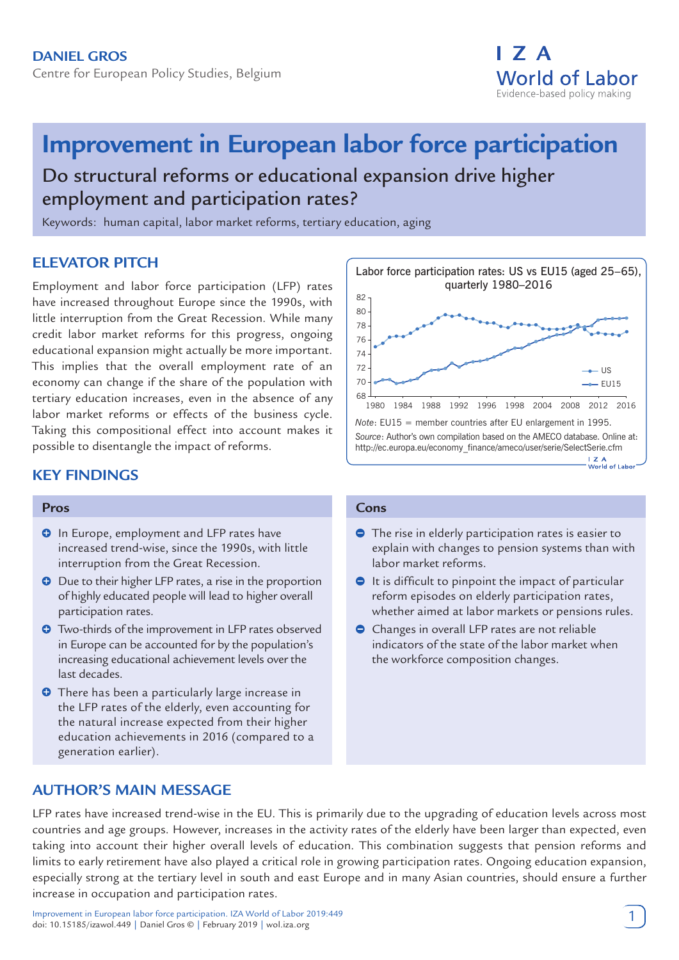

# **Improvement in European labor force participation**

Do structural reforms or educational expansion drive higher employment and participation rates?

Keywords: human capital, labor market reforms, tertiary education, aging

# **ELEVATOR PITCH**

Employment and labor force participation (LFP) rates have increased throughout Europe since the 1990s, with little interruption from the Great Recession. While many credit labor market reforms for this progress, ongoing educational expansion might actually be more important. This implies that the overall employment rate of an economy can change if the share of the population with tertiary education increases, even in the absence of any labor market reforms or effects of the business cycle. Taking this compositional effect into account makes it possible to disentangle the impact of reforms.

# **KEY FINDINGS**

#### **Pros**

- **O** In Europe, employment and LFP rates have increased trend-wise, since the 1990s, with little interruption from the Great Recession.
- **O** Due to their higher LFP rates, a rise in the proportion of highly educated people will lead to higher overall participation rates.
- **O** Two-thirds of the improvement in LFP rates observed in Europe can be accounted for by the population's increasing educational achievement levels over the last decades.
- **O** There has been a particularly large increase in the LFP rates of the elderly, even accounting for the natural increase expected from their higher education achievements in 2016 (compared to a generation earlier).

#### 82 80 78 76 74 72 – US 70  $-$ FU15 68 1980 1984 1988 1992 1996 1998 2004 2008 2012 2016 *Note*: EU15 = member countries after EU enlargement in 1995. *Source*: Author's own compilation based on the AMECO database. Online at: http://ec.europa.eu/economy\_finance/ameco/user/serie/SelectSerie.cfm **I Z A**<br>World of Labor

Labor force participation rates: US vs EU15 (aged 25–65), quarterly 1980–2016

## **Cons**

- **●** The rise in elderly participation rates is easier to explain with changes to pension systems than with labor market reforms.
- $\bullet$  It is difficult to pinpoint the impact of particular reform episodes on elderly participation rates, whether aimed at labor markets or pensions rules.
- Changes in overall LFP rates are not reliable indicators of the state of the labor market when the workforce composition changes.

# **AUTHOR'S MAIN MESSAGE**

LFP rates have increased trend-wise in the EU. This is primarily due to the upgrading of education levels across most countries and age groups. However, increases in the activity rates of the elderly have been larger than expected, even taking into account their higher overall levels of education. This combination suggests that pension reforms and limits to early retirement have also played a critical role in growing participation rates. Ongoing education expansion, especially strong at the tertiary level in south and east Europe and in many Asian countries, should ensure a further increase in occupation and participation rates.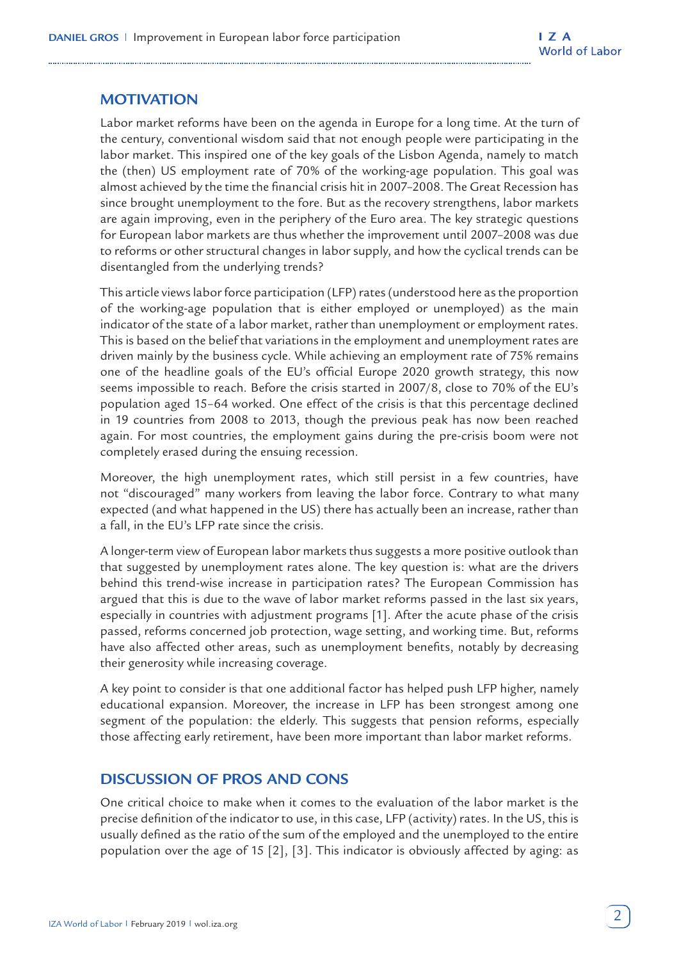# **MOTIVATION**

Labor market reforms have been on the agenda in Europe for a long time. At the turn of the century, conventional wisdom said that not enough people were participating in the labor market. This inspired one of the key goals of the Lisbon Agenda, namely to match the (then) US employment rate of 70% of the working-age population. This goal was almost achieved by the time the financial crisis hit in 2007–2008. The Great Recession has since brought unemployment to the fore. But as the recovery strengthens, labor markets are again improving, even in the periphery of the Euro area. The key strategic questions for European labor markets are thus whether the improvement until 2007–2008 was due to reforms or other structural changes in labor supply, and how the cyclical trends can be disentangled from the underlying trends?

This article views labor force participation (LFP) rates (understood here as the proportion of the working-age population that is either employed or unemployed) as the main indicator of the state of a labor market, rather than unemployment or employment rates. This is based on the belief that variations in the employment and unemployment rates are driven mainly by the business cycle. While achieving an employment rate of 75% remains one of the headline goals of the EU's official Europe 2020 growth strategy, this now seems impossible to reach. Before the crisis started in 2007/8, close to 70% of the EU's population aged 15–64 worked. One effect of the crisis is that this percentage declined in 19 countries from 2008 to 2013, though the previous peak has now been reached again. For most countries, the employment gains during the pre-crisis boom were not completely erased during the ensuing recession.

Moreover, the high unemployment rates, which still persist in a few countries, have not "discouraged" many workers from leaving the labor force. Contrary to what many expected (and what happened in the US) there has actually been an increase, rather than a fall, in the EU's LFP rate since the crisis.

A longer-term view of European labor markets thus suggests a more positive outlook than that suggested by unemployment rates alone. The key question is: what are the drivers behind this trend-wise increase in participation rates? The European Commission has argued that this is due to the wave of labor market reforms passed in the last six years, especially in countries with adjustment programs [1]. After the acute phase of the crisis passed, reforms concerned job protection, wage setting, and working time. But, reforms have also affected other areas, such as unemployment benefits, notably by decreasing their generosity while increasing coverage.

A key point to consider is that one additional factor has helped push LFP higher, namely educational expansion. Moreover, the increase in LFP has been strongest among one segment of the population: the elderly. This suggests that pension reforms, especially those affecting early retirement, have been more important than labor market reforms.

## **DISCUSSION OF PROS AND CONS**

One critical choice to make when it comes to the evaluation of the labor market is the precise definition of the indicator to use, in this case, LFP (activity) rates. In the US, this is usually defined as the ratio of the sum of the employed and the unemployed to the entire population over the age of 15 [2], [3]. This indicator is obviously affected by aging: as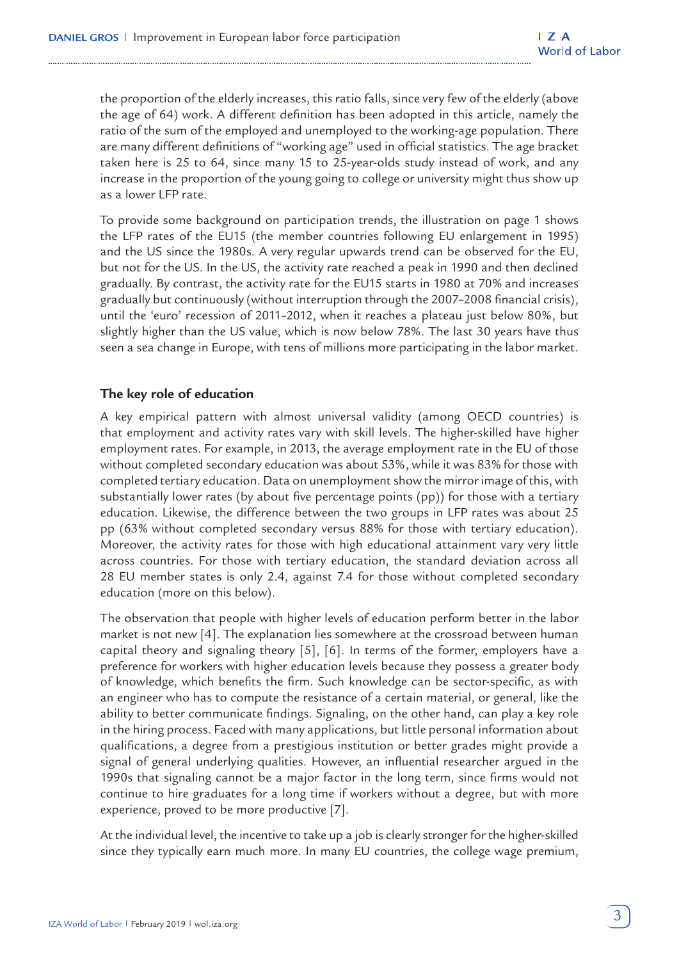the proportion of the elderly increases, this ratio falls, since very few of the elderly (above the age of 64) work. A different definition has been adopted in this article, namely the ratio of the sum of the employed and unemployed to the working-age population. There are many different definitions of "working age" used in official statistics. The age bracket taken here is 25 to 64, since many 15 to 25-year-olds study instead of work, and any increase in the proportion of the young going to college or university might thus show up as a lower LFP rate.

To provide some background on participation trends, the illustration on page 1 shows the LFP rates of the EU15 (the member countries following EU enlargement in 1995) and the US since the 1980s. A very regular upwards trend can be observed for the EU, but not for the US. In the US, the activity rate reached a peak in 1990 and then declined gradually. By contrast, the activity rate for the EU15 starts in 1980 at 70% and increases gradually but continuously (without interruption through the 2007–2008 financial crisis), until the 'euro' recession of 2011–2012, when it reaches a plateau just below 80%, but slightly higher than the US value, which is now below 78%. The last 30 years have thus seen a sea change in Europe, with tens of millions more participating in the labor market.

## **The key role of education**

A key empirical pattern with almost universal validity (among OECD countries) is that employment and activity rates vary with skill levels. The higher-skilled have higher employment rates. For example, in 2013, the average employment rate in the EU of those without completed secondary education was about 53%, while it was 83% for those with completed tertiary education. Data on unemployment show the mirror image of this, with substantially lower rates (by about five percentage points (pp)) for those with a tertiary education. Likewise, the difference between the two groups in LFP rates was about 25 pp (63% without completed secondary versus 88% for those with tertiary education). Moreover, the activity rates for those with high educational attainment vary very little across countries. For those with tertiary education, the standard deviation across all 28 EU member states is only 2.4, against 7.4 for those without completed secondary education (more on this below).

The observation that people with higher levels of education perform better in the labor market is not new [4]. The explanation lies somewhere at the crossroad between human capital theory and signaling theory [5], [6]. In terms of the former, employers have a preference for workers with higher education levels because they possess a greater body of knowledge, which benefits the firm. Such knowledge can be sector-specific, as with an engineer who has to compute the resistance of a certain material, or general, like the ability to better communicate findings. Signaling, on the other hand, can play a key role in the hiring process. Faced with many applications, but little personal information about qualifications, a degree from a prestigious institution or better grades might provide a signal of general underlying qualities. However, an influential researcher argued in the 1990s that signaling cannot be a major factor in the long term, since firms would not continue to hire graduates for a long time if workers without a degree, but with more experience, proved to be more productive [7].

At the individual level, the incentive to take up a job is clearly stronger for the higher-skilled since they typically earn much more. In many EU countries, the college wage premium,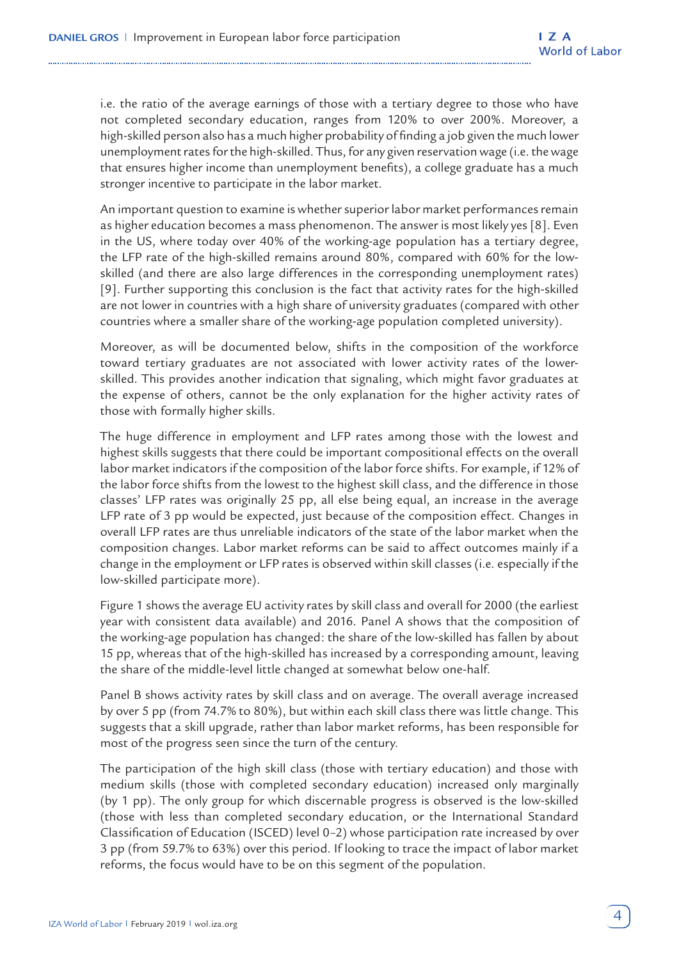i.e. the ratio of the average earnings of those with a tertiary degree to those who have not completed secondary education, ranges from 120% to over 200%. Moreover, a high-skilled person also has a much higher probability of finding a job given the much lower unemployment rates for the high-skilled. Thus, for any given reservation wage (i.e. the wage that ensures higher income than unemployment benefits), a college graduate has a much stronger incentive to participate in the labor market.

An important question to examine is whether superior labor market performances remain as higher education becomes a mass phenomenon. The answer is most likely yes [8]. Even in the US, where today over 40% of the working-age population has a tertiary degree, the LFP rate of the high-skilled remains around 80%, compared with 60% for the lowskilled (and there are also large differences in the corresponding unemployment rates) [9]. Further supporting this conclusion is the fact that activity rates for the high-skilled are not lower in countries with a high share of university graduates (compared with other countries where a smaller share of the working-age population completed university).

Moreover, as will be documented below, shifts in the composition of the workforce toward tertiary graduates are not associated with lower activity rates of the lowerskilled. This provides another indication that signaling, which might favor graduates at the expense of others, cannot be the only explanation for the higher activity rates of those with formally higher skills.

The huge difference in employment and LFP rates among those with the lowest and highest skills suggests that there could be important compositional effects on the overall labor market indicators if the composition of the labor force shifts. For example, if 12% of the labor force shifts from the lowest to the highest skill class, and the difference in those classes' LFP rates was originally 25 pp, all else being equal, an increase in the average LFP rate of 3 pp would be expected, just because of the composition effect. Changes in overall LFP rates are thus unreliable indicators of the state of the labor market when the composition changes. Labor market reforms can be said to affect outcomes mainly if a change in the employment or LFP rates is observed within skill classes (i.e. especially if the low-skilled participate more).

Figure 1 shows the average EU activity rates by skill class and overall for 2000 (the earliest year with consistent data available) and 2016. Panel A shows that the composition of the working-age population has changed: the share of the low-skilled has fallen by about 15 pp, whereas that of the high-skilled has increased by a corresponding amount, leaving the share of the middle-level little changed at somewhat below one-half.

Panel B shows activity rates by skill class and on average. The overall average increased by over 5 pp (from 74.7% to 80%), but within each skill class there was little change. This suggests that a skill upgrade, rather than labor market reforms, has been responsible for most of the progress seen since the turn of the century.

The participation of the high skill class (those with tertiary education) and those with medium skills (those with completed secondary education) increased only marginally (by 1 pp). The only group for which discernable progress is observed is the low-skilled (those with less than completed secondary education, or the International Standard Classification of Education (ISCED) level 0–2) whose participation rate increased by over 3 pp (from 59.7% to 63%) over this period. If looking to trace the impact of labor market reforms, the focus would have to be on this segment of the population.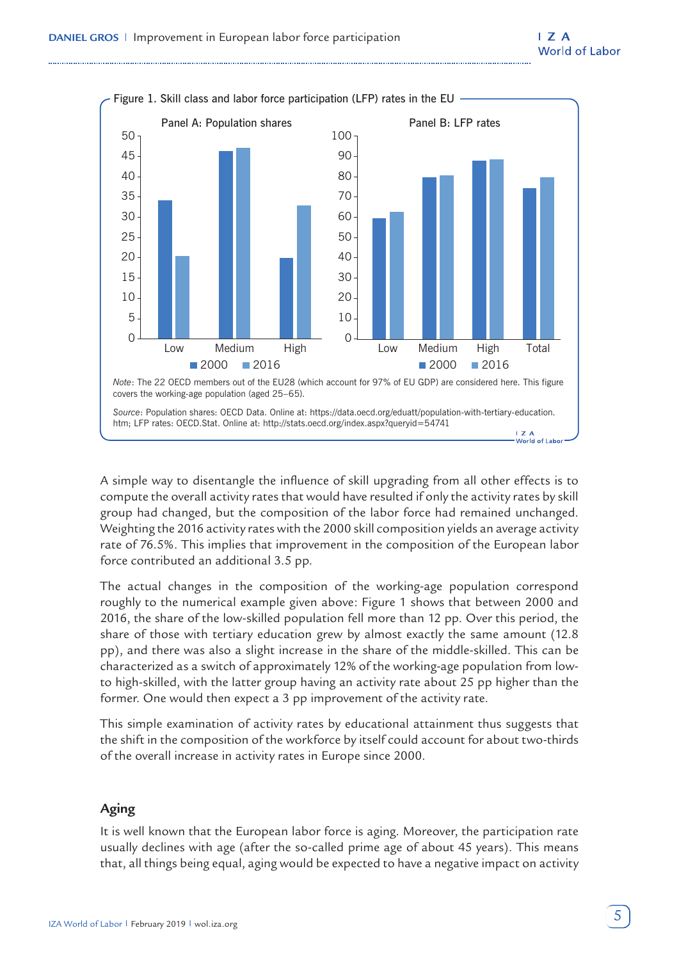

A simple way to disentangle the influence of skill upgrading from all other effects is to compute the overall activity rates that would have resulted if only the activity rates by skill group had changed, but the composition of the labor force had remained unchanged. Weighting the 2016 activity rates with the 2000 skill composition yields an average activity rate of 76.5%. This implies that improvement in the composition of the European labor force contributed an additional 3.5 pp.

The actual changes in the composition of the working-age population correspond roughly to the numerical example given above: Figure 1 shows that between 2000 and 2016, the share of the low-skilled population fell more than 12 pp. Over this period, the share of those with tertiary education grew by almost exactly the same amount (12.8 pp), and there was also a slight increase in the share of the middle-skilled. This can be characterized as a switch of approximately 12% of the working-age population from lowto high-skilled, with the latter group having an activity rate about 25 pp higher than the former. One would then expect a 3 pp improvement of the activity rate.

This simple examination of activity rates by educational attainment thus suggests that the shift in the composition of the workforce by itself could account for about two-thirds of the overall increase in activity rates in Europe since 2000.

## **Aging**

It is well known that the European labor force is aging. Moreover, the participation rate usually declines with age (after the so-called prime age of about 45 years). This means that, all things being equal, aging would be expected to have a negative impact on activity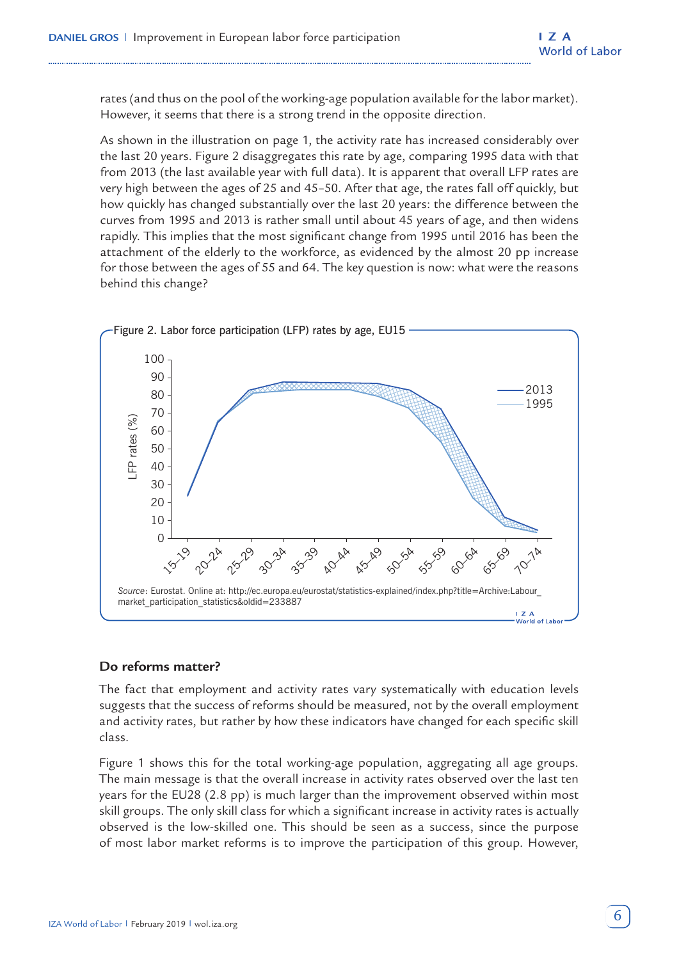rates (and thus on the pool of the working-age population available for the labor market). However, it seems that there is a strong trend in the opposite direction.

As shown in the illustration on page 1, the activity rate has increased considerably over the last 20 years. Figure 2 disaggregates this rate by age, comparing 1995 data with that from 2013 (the last available year with full data). It is apparent that overall LFP rates are very high between the ages of 25 and 45–50. After that age, the rates fall off quickly, but how quickly has changed substantially over the last 20 years: the difference between the curves from 1995 and 2013 is rather small until about 45 years of age, and then widens rapidly. This implies that the most significant change from 1995 until 2016 has been the attachment of the elderly to the workforce, as evidenced by the almost 20 pp increase for those between the ages of 55 and 64. The key question is now: what were the reasons behind this change?



## **Do reforms matter?**

The fact that employment and activity rates vary systematically with education levels suggests that the success of reforms should be measured, not by the overall employment and activity rates, but rather by how these indicators have changed for each specific skill class.

Figure 1 shows this for the total working-age population, aggregating all age groups. The main message is that the overall increase in activity rates observed over the last ten years for the EU28 (2.8 pp) is much larger than the improvement observed within most skill groups. The only skill class for which a significant increase in activity rates is actually observed is the low-skilled one. This should be seen as a success, since the purpose of most labor market reforms is to improve the participation of this group. However,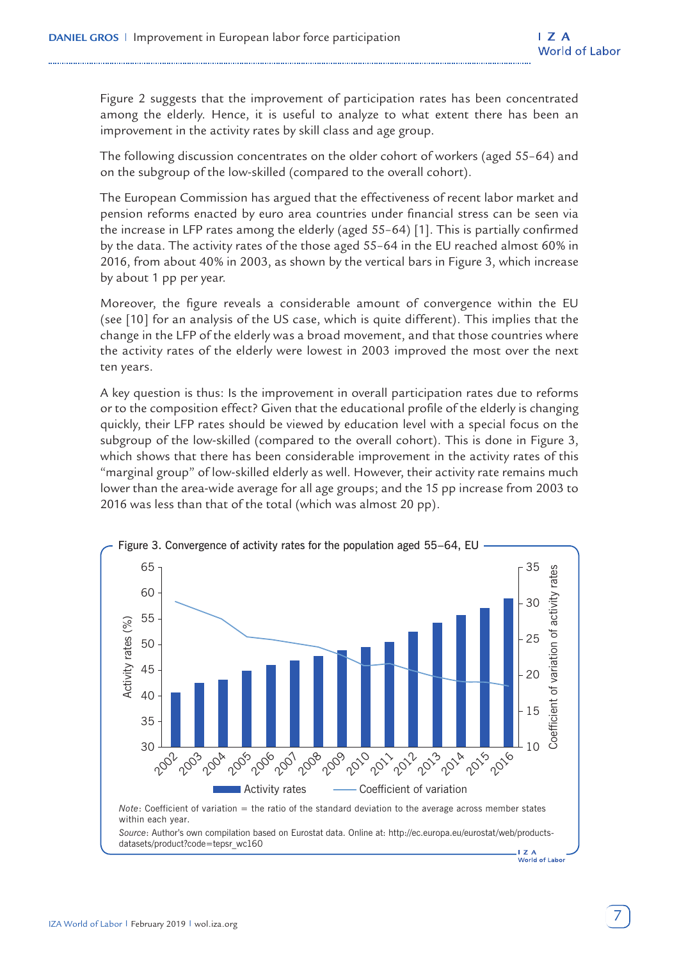Figure 2 suggests that the improvement of participation rates has been concentrated among the elderly. Hence, it is useful to analyze to what extent there has been an improvement in the activity rates by skill class and age group.

The following discussion concentrates on the older cohort of workers (aged 55–64) and on the subgroup of the low-skilled (compared to the overall cohort).

The European Commission has argued that the effectiveness of recent labor market and pension reforms enacted by euro area countries under financial stress can be seen via the increase in LFP rates among the elderly (aged 55–64) [1]. This is partially confirmed by the data. The activity rates of the those aged 55–64 in the EU reached almost 60% in 2016, from about 40% in 2003, as shown by the vertical bars in Figure 3, which increase by about 1 pp per year.

Moreover, the figure reveals a considerable amount of convergence within the EU (see [10] for an analysis of the US case, which is quite different). This implies that the change in the LFP of the elderly was a broad movement, and that those countries where the activity rates of the elderly were lowest in 2003 improved the most over the next ten years.

A key question is thus: Is the improvement in overall participation rates due to reforms or to the composition effect? Given that the educational profile of the elderly is changing quickly, their LFP rates should be viewed by education level with a special focus on the subgroup of the low-skilled (compared to the overall cohort). This is done in Figure 3, which shows that there has been considerable improvement in the activity rates of this "marginal group" of low-skilled elderly as well. However, their activity rate remains much lower than the area-wide average for all age groups; and the 15 pp increase from 2003 to 2016 was less than that of the total (which was almost 20 pp).

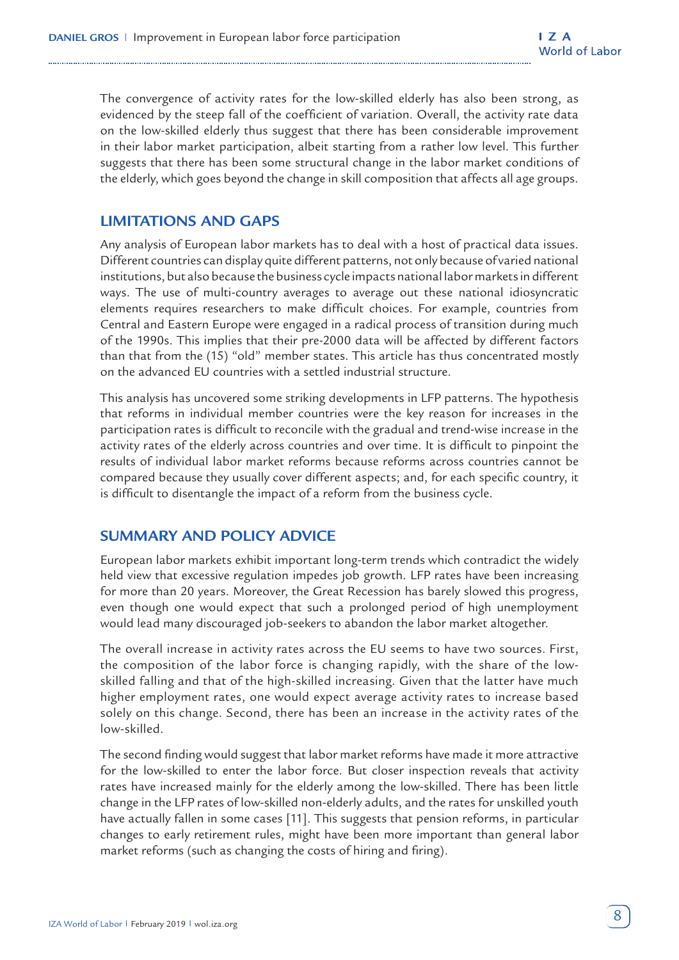The convergence of activity rates for the low-skilled elderly has also been strong, as evidenced by the steep fall of the coefficient of variation. Overall, the activity rate data on the low-skilled elderly thus suggest that there has been considerable improvement in their labor market participation, albeit starting from a rather low level. This further suggests that there has been some structural change in the labor market conditions of the elderly, which goes beyond the change in skill composition that affects all age groups.

## **LIMITATIONS AND GAPS**

Any analysis of European labor markets has to deal with a host of practical data issues. Different countries can display quite different patterns, not only because of varied national institutions, but also because the business cycle impacts national labor markets in different ways. The use of multi-country averages to average out these national idiosyncratic elements requires researchers to make difficult choices. For example, countries from Central and Eastern Europe were engaged in a radical process of transition during much of the 1990s. This implies that their pre-2000 data will be affected by different factors than that from the (15) "old" member states. This article has thus concentrated mostly on the advanced EU countries with a settled industrial structure.

This analysis has uncovered some striking developments in LFP patterns. The hypothesis that reforms in individual member countries were the key reason for increases in the participation rates is difficult to reconcile with the gradual and trend-wise increase in the activity rates of the elderly across countries and over time. It is difficult to pinpoint the results of individual labor market reforms because reforms across countries cannot be compared because they usually cover different aspects; and, for each specific country, it is difficult to disentangle the impact of a reform from the business cycle.

# **SUMMARY AND POLICY ADVICE**

European labor markets exhibit important long-term trends which contradict the widely held view that excessive regulation impedes job growth. LFP rates have been increasing for more than 20 years. Moreover, the Great Recession has barely slowed this progress, even though one would expect that such a prolonged period of high unemployment would lead many discouraged job-seekers to abandon the labor market altogether.

The overall increase in activity rates across the EU seems to have two sources. First, the composition of the labor force is changing rapidly, with the share of the lowskilled falling and that of the high-skilled increasing. Given that the latter have much higher employment rates, one would expect average activity rates to increase based solely on this change. Second, there has been an increase in the activity rates of the low-skilled.

The second finding would suggest that labor market reforms have made it more attractive for the low-skilled to enter the labor force. But closer inspection reveals that activity rates have increased mainly for the elderly among the low-skilled. There has been little change in the LFP rates of low-skilled non-elderly adults, and the rates for unskilled youth have actually fallen in some cases [11]. This suggests that pension reforms, in particular changes to early retirement rules, might have been more important than general labor market reforms (such as changing the costs of hiring and firing).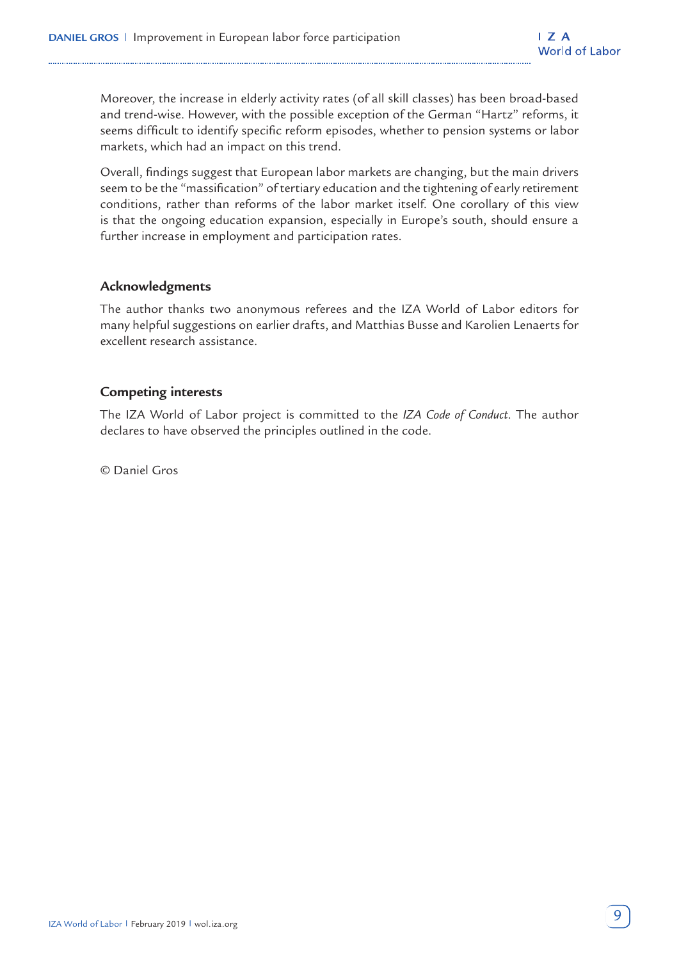Moreover, the increase in elderly activity rates (of all skill classes) has been broad-based and trend-wise. However, with the possible exception of the German "Hartz" reforms, it seems difficult to identify specific reform episodes, whether to pension systems or labor markets, which had an impact on this trend.

Overall, findings suggest that European labor markets are changing, but the main drivers seem to be the "massification" of tertiary education and the tightening of early retirement conditions, rather than reforms of the labor market itself. One corollary of this view is that the ongoing education expansion, especially in Europe's south, should ensure a further increase in employment and participation rates.

## **Acknowledgments**

The author thanks two anonymous referees and the IZA World of Labor editors for many helpful suggestions on earlier drafts, and Matthias Busse and Karolien Lenaerts for excellent research assistance.

## **Competing interests**

The IZA World of Labor project is committed to the *IZA Code of Conduct*. The author declares to have observed the principles outlined in the code.

© Daniel Gros